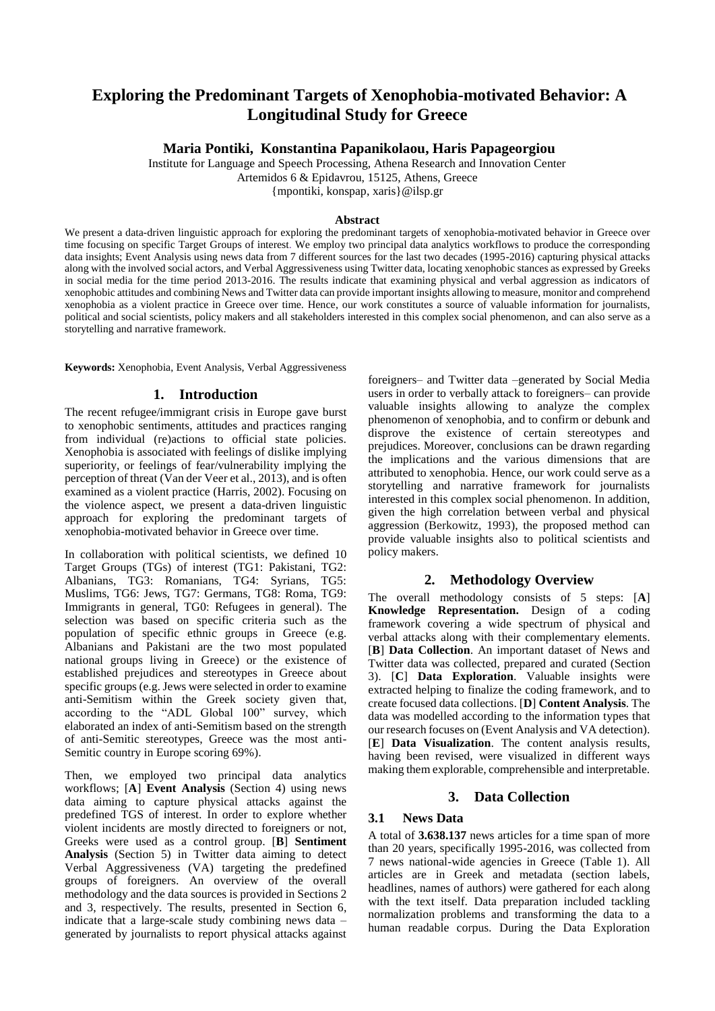# **Exploring the Predominant Targets of Xenophobia-motivated Behavior: A Longitudinal Study for Greece**

**Maria Pontiki, Konstantina Papanikolaou, Haris Papageorgiou**

Institute for Language and Speech Processing, Athena Research and Innovation Center

Artemidos 6 & Epidavrou, 15125, Athens, Greece

{mpontiki, konspap, xaris}@ilsp.gr

#### **Abstract**

We present a data-driven linguistic approach for exploring the predominant targets of xenophobia-motivated behavior in Greece over time focusing on specific Target Groups of interest. We employ two principal data analytics workflows to produce the corresponding data insights; Event Analysis using news data from 7 different sources for the last two decades (1995-2016) capturing physical attacks along with the involved social actors, and Verbal Aggressiveness using Twitter data, locating xenophobic stances as expressed by Greeks in social media for the time period 2013-2016. The results indicate that examining physical and verbal aggression as indicators of xenophobic attitudes and combining News and Twitter data can provide important insights allowing to measure, monitor and comprehend xenophobia as a violent practice in Greece over time. Hence, our work constitutes a source of valuable information for journalists, political and social scientists, policy makers and all stakeholders interested in this complex social phenomenon, and can also serve as a storytelling and narrative framework.

**Keywords:** Xenophobia, Event Analysis, Verbal Aggressiveness

### **1. Introduction**

The recent refugee/immigrant crisis in Europe gave burst to xenophobic sentiments, attitudes and practices ranging from individual (re)actions to official state policies. Xenophobia is associated with feelings of dislike implying superiority, or feelings of fear/vulnerability implying the perception of threat (Van der Veer et al., 2013), and is often examined as a violent practice (Harris, 2002). Focusing on the violence aspect, we present a data-driven linguistic approach for exploring the predominant targets of xenophobia-motivated behavior in Greece over time.

In collaboration with political scientists, we defined 10 Target Groups (TGs) of interest (TG1: Pakistani, TG2: Albanians, TG3: Romanians, TG4: Syrians, TG5: Muslims, TG6: Jews, TG7: Germans, TG8: Roma, TG9: Immigrants in general, TG0: Refugees in general). The selection was based on specific criteria such as the population of specific ethnic groups in Greece (e.g. Albanians and Pakistani are the two most populated national groups living in Greece) or the existence of established prejudices and stereotypes in Greece about specific groups(e.g. Jews were selected in order to examine anti-Semitism within the Greek society given that, according to the "ADL Global 100" survey, which elaborated an index of anti-Semitism based on the strength of anti-Semitic stereotypes, Greece was the most anti-Semitic country in Europe scoring 69%).

Then, we employed two principal data analytics workflows; [**A**] **Event Analysis** (Section 4) using news data aiming to capture physical attacks against the predefined TGS of interest. In order to explore whether violent incidents are mostly directed to foreigners or not, Greeks were used as a control group. [**B**] **Sentiment Analysis** (Section 5) in Twitter data aiming to detect Verbal Aggressiveness (VA) targeting the predefined groups of foreigners. An overview of the overall methodology and the data sources is provided in Sections 2 and 3, respectively. The results, presented in Section 6, indicate that a large-scale study combining news data – generated by journalists to report physical attacks against

foreigners– and Twitter data –generated by Social Media users in order to verbally attack to foreigners— can provide valuable insights allowing to analyze the complex phenomenon of xenophobia, and to confirm or debunk and disprove the existence of certain stereotypes and prejudices. Moreover, conclusions can be drawn regarding the implications and the various dimensions that are attributed to xenophobia. Hence, our work could serve as a storytelling and narrative framework for journalists interested in this complex social phenomenon. In addition, given the high correlation between verbal and physical aggression (Berkowitz, 1993), the proposed method can provide valuable insights also to political scientists and policy makers.

## **2. Methodology Overview**

The overall methodology consists of 5 steps: [**A**] **Knowledge Representation.** Design of a coding framework covering a wide spectrum of physical and verbal attacks along with their complementary elements. [**B**] **Data Collection**. An important dataset of News and Twitter data was collected, prepared and curated (Section 3). [**C**] **Data Exploration**. Valuable insights were extracted helping to finalize the coding framework, and to create focused data collections. [**D**] **Content Analysis**. The data was modelled according to the information types that our research focuses on (Event Analysis and VA detection). [**E**] **Data Visualization**. The content analysis results, having been revised, were visualized in different ways making them explorable, comprehensible and interpretable.

### **3. Data Collection**

### **3.1 News Data**

A total of **3.638.137** news articles for a time span of more than 20 years, specifically 1995-2016, was collected from 7 news national-wide agencies in Greece (Table 1). All articles are in Greek and metadata (section labels, headlines, names of authors) were gathered for each along with the text itself. Data preparation included tackling normalization problems and transforming the data to a human readable corpus. During the Data Exploration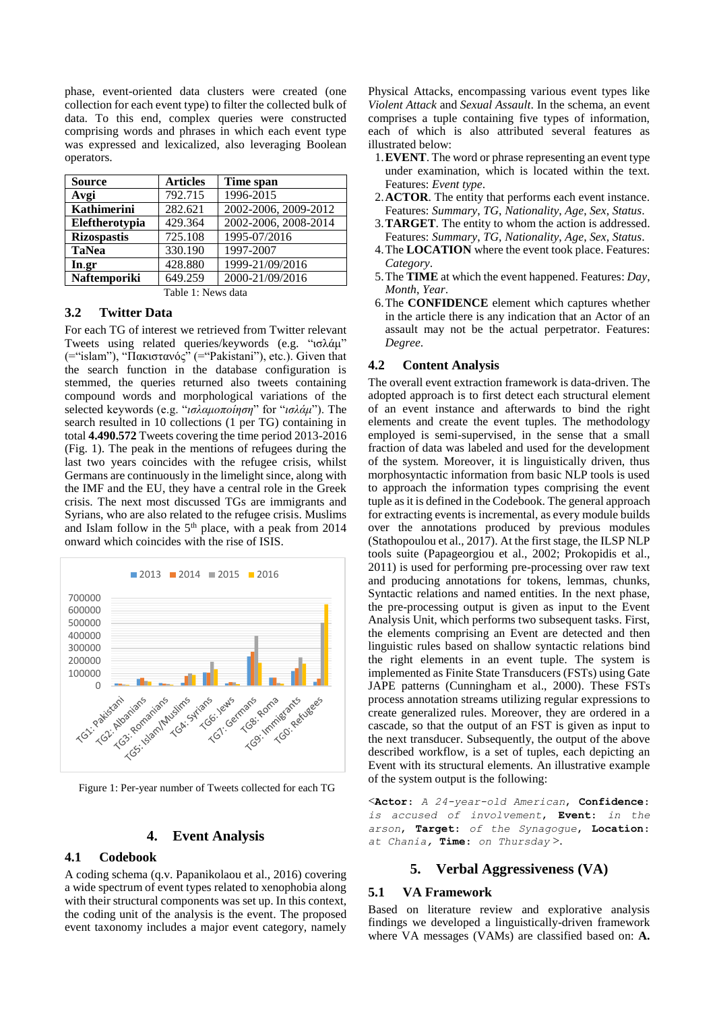phase, event-oriented data clusters were created (one collection for each event type) to filter the collected bulk of data. To this end, complex queries were constructed comprising words and phrases in which each event type was expressed and lexicalized, also leveraging Boolean operators.

| <b>Source</b>      | <b>Articles</b> | Time span            |
|--------------------|-----------------|----------------------|
| Avgi               | 792.715         | 1996-2015            |
| Kathimerini        | 282.621         | 2002-2006, 2009-2012 |
| Eleftherotypia     | 429.364         | 2002-2006, 2008-2014 |
| <b>Rizospastis</b> | 725.108         | 1995-07/2016         |
| <b>TaNea</b>       | 330.190         | 1997-2007            |
| In.gr              | 428.880         | 1999-21/09/2016      |
| Naftemporiki       | 649.259         | 2000-21/09/2016      |
|                    | ------          |                      |

Table 1: News data

### **3.2 Twitter Data**

For each TG of interest we retrieved from Twitter relevant Tweets using related queries/keywords (e.g. "ισλάμ" (="islam"), "Πακιστανός" (="Pakistani"), etc.). Given that the search function in the database configuration is stemmed, the queries returned also tweets containing compound words and morphological variations of the selected keywords (e.g. "*ισλαμοποίηση*" for "*ισλάμ*"). The search resulted in 10 collections (1 per TG) containing in total **4.490.572** Tweets covering the time period 2013-2016 (Fig. 1). The peak in the mentions of refugees during the last two years coincides with the refugee crisis, whilst Germans are continuously in the limelight since, along with the IMF and the EU, they have a central role in the Greek crisis. The next most discussed TGs are immigrants and Syrians, who are also related to the refugee crisis. Muslims and Islam follow in the 5<sup>th</sup> place, with a peak from 2014 onward which coincides with the rise of ISIS.



Figure 1: Per-year number of Tweets collected for each TG

#### **4. Event Analysis**

#### **4.1 Codebook**

A coding schema (q.v. Papanikolaou et al., 2016) covering a wide spectrum of event types related to xenophobia along with their structural components was set up. In this context, the coding unit of the analysis is the event. The proposed event taxonomy includes a major event category, namely

Physical Attacks, encompassing various event types like *Violent Attack* and *Sexual Assault*. In the schema, an event comprises a tuple containing five types of information, each of which is also attributed several features as illustrated below:

- 1.**EVENT**. The word or phrase representing an event type under examination, which is located within the text. Features: *Event type*.
- 2.**ACTOR**. The entity that performs each event instance. Features: *Summary*, *TG*, *Nationality*, *Age*, *Sex*, *Status*.
- 3.**TARGET**. The entity to whom the action is addressed. Features: *Summary*, *TG*, *Nationality*, *Age*, *Sex*, *Status*.
- 4.The **LOCATION** where the event took place. Features: *Category*.
- 5.The **TIME** at which the event happened. Features: *Day*, *Month*, *Year*.
- 6.The **CONFIDENCE** element which captures whether in the article there is any indication that an Actor of an assault may not be the actual perpetrator. Features: *Degree*.

#### **4.2 Content Analysis**

The overall event extraction framework is data-driven. The adopted approach is to first detect each structural element of an event instance and afterwards to bind the right elements and create the event tuples. The methodology employed is semi-supervised, in the sense that a small fraction of data was labeled and used for the development of the system. Moreover, it is linguistically driven, thus morphosyntactic information from basic NLP tools is used to approach the information types comprising the event tuple as it is defined in the Codebook. The general approach for extracting events is incremental, as every module builds over the annotations produced by previous modules (Stathopoulou et al., 2017). At the first stage, the ILSP NLP tools suite (Papageorgiou et al., 2002; Prokopidis et al., 2011) is used for performing pre-processing over raw text and producing annotations for tokens, lemmas, chunks, Syntactic relations and named entities. In the next phase, the pre-processing output is given as input to the Event Analysis Unit, which performs two subsequent tasks. First, the elements comprising an Event are detected and then linguistic rules based on shallow syntactic relations bind the right elements in an event tuple. The system is implemented as Finite State Transducers (FSTs) using Gate JAPE patterns (Cunningham et al., 2000). These FSTs process annotation streams utilizing regular expressions to create generalized rules. Moreover, they are ordered in a cascade, so that the output of an FST is given as input to the next transducer. Subsequently, the output of the above described workflow, is a set of tuples, each depicting an Event with its structural elements. An illustrative example of the system output is the following:

<**Actor**: *A 24-year-old American*, **Confidence**: *is accused of involvement*, **Event**: *in the arson*, **Target**: *of the Synagogue*, **Location**: *at Chania,* **Time**: *on Thursday* >.

#### **5. Verbal Aggressiveness (VA)**

#### **5.1 VA Framework**

Based on literature review and explorative analysis findings we developed a linguistically-driven framework where VA messages (VAMs) are classified based on: **A.**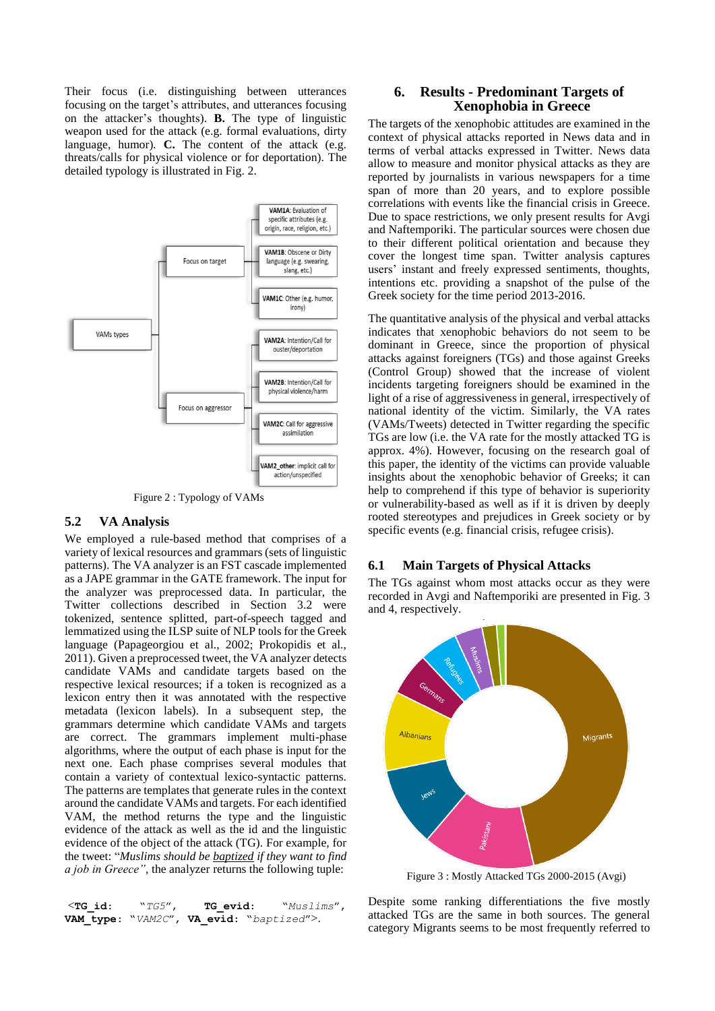Their focus (i.e. distinguishing between utterances focusing on the target's attributes, and utterances focusing on the attacker's thoughts). **B.** The type of linguistic weapon used for the attack (e.g. formal evaluations, dirty language, humor). **C.** The content of the attack (e.g. threats/calls for physical violence or for deportation). The detailed typology is illustrated in Fig. 2.



Figure 2 : Typology of VAMs

#### **5.2 VA Analysis**

We employed a rule-based method that comprises of a variety of lexical resources and grammars (sets of linguistic patterns). The VA analyzer is an FST cascade implemented as a JAPE grammar in the GATE framework. The input for the analyzer was preprocessed data. In particular, the Twitter collections described in Section 3.2 were tokenized, sentence splitted, part-of-speech tagged and lemmatized using the ILSP suite of NLP tools for the Greek language (Papageorgiou et al., 2002; Prokopidis et al., 2011). Given a preprocessed tweet, the VA analyzer detects candidate VAMs and candidate targets based on the respective lexical resources; if a token is recognized as a lexicon entry then it was annotated with the respective metadata (lexicon labels). In a subsequent step, the grammars determine which candidate VAMs and targets are correct. The grammars implement multi-phase algorithms, where the output of each phase is input for the next one. Each phase comprises several modules that contain a variety of contextual lexico-syntactic patterns. The patterns are templates that generate rules in the context around the candidate VAMs and targets. For each identified VAM, the method returns the type and the linguistic evidence of the attack as well as the id and the linguistic evidence of the object of the attack (TG). For example, for the tweet: "*Muslims should be baptized if they want to find a job in Greece"*, the analyzer returns the following tuple:

| $<$ TG id: | $``TG5''$ , | <b>TG</b> evid:                          | "Muslims", |
|------------|-------------|------------------------------------------|------------|
|            |             | VAM type: "VAM2C", VA evid: "baptized">. |            |

### **6. Results - Predominant Targets of Xenophobia in Greece**

The targets of the xenophobic attitudes are examined in the context of physical attacks reported in News data and in terms of verbal attacks expressed in Twitter. News data allow to measure and monitor physical attacks as they are reported by journalists in various newspapers for a time span of more than 20 years, and to explore possible correlations with events like the financial crisis in Greece. Due to space restrictions, we only present results for Avgi and Naftemporiki. The particular sources were chosen due to their different political orientation and because they cover the longest time span. Twitter analysis captures users' instant and freely expressed sentiments, thoughts, intentions etc. providing a snapshot of the pulse of the Greek society for the time period 2013-2016.

The quantitative analysis of the physical and verbal attacks indicates that xenophobic behaviors do not seem to be dominant in Greece, since the proportion of physical attacks against foreigners (TGs) and those against Greeks (Control Group) showed that the increase of violent incidents targeting foreigners should be examined in the light of a rise of aggressiveness in general, irrespectively of national identity of the victim. Similarly, the VA rates (VAMs/Tweets) detected in Twitter regarding the specific TGs are low (i.e. the VA rate for the mostly attacked TG is approx. 4%). However, focusing on the research goal of this paper, the identity of the victims can provide valuable insights about the xenophobic behavior of Greeks; it can help to comprehend if this type of behavior is superiority or vulnerability-based as well as if it is driven by deeply rooted stereotypes and prejudices in Greek society or by specific events (e.g. financial crisis, refugee crisis).

### **6.1 Main Targets of Physical Attacks**

The TGs against whom most attacks occur as they were recorded in Avgi and Naftemporiki are presented in Fig. 3 and 4, respectively.



Figure 3 : Mostly Attacked TGs 2000-2015 (Avgi)

Despite some ranking differentiations the five mostly attacked TGs are the same in both sources. The general category Migrants seems to be most frequently referred to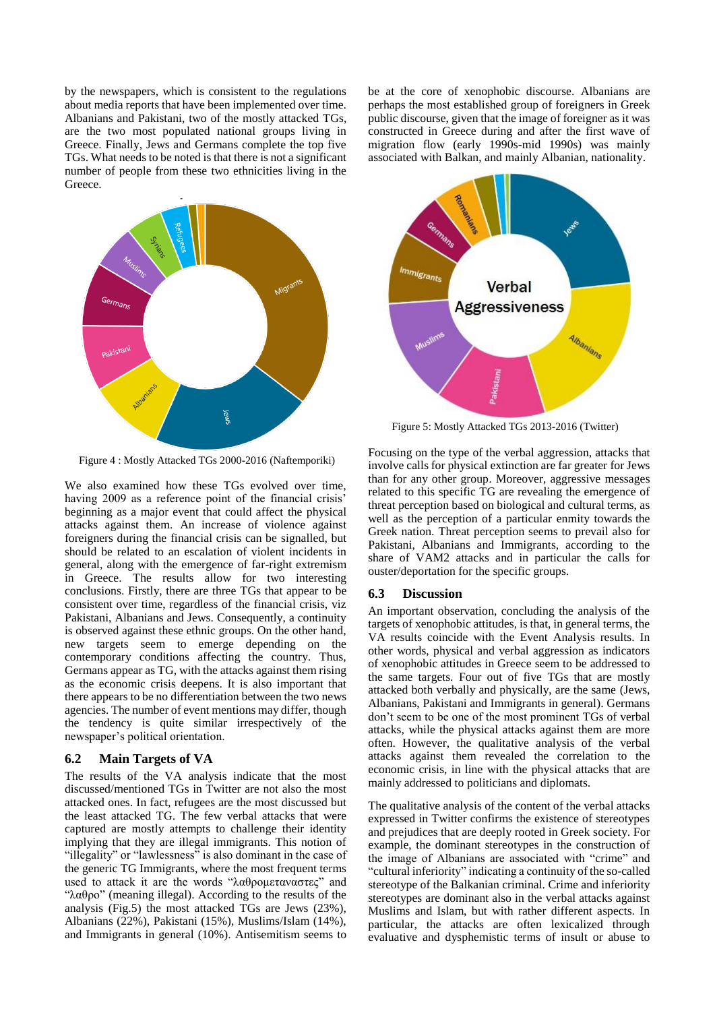by the newspapers, which is consistent to the regulations about media reports that have been implemented over time. Albanians and Pakistani, two of the mostly attacked TGs, are the two most populated national groups living in Greece. Finally, Jews and Germans complete the top five TGs. What needs to be noted is that there is not a significant number of people from these two ethnicities living in the Greece.



Figure 4 : Mostly Attacked TGs 2000-2016 (Naftemporiki)

We also examined how these TGs evolved over time, having 2009 as a reference point of the financial crisis beginning as a major event that could affect the physical attacks against them. An increase of violence against foreigners during the financial crisis can be signalled, but should be related to an escalation of violent incidents in general, along with the emergence of far-right extremism in Greece. The results allow for two interesting conclusions. Firstly, there are three TGs that appear to be consistent over time, regardless of the financial crisis, viz Pakistani, Albanians and Jews. Consequently, a continuity is observed against these ethnic groups. On the other hand, new targets seem to emerge depending on the contemporary conditions affecting the country. Thus, Germans appear as TG, with the attacks against them rising as the economic crisis deepens. It is also important that there appears to be no differentiation between the two news agencies. The number of event mentions may differ, though the tendency is quite similar irrespectively of the newspaper's political orientation.

#### **6.2 Main Targets of VA**

The results of the VA analysis indicate that the most discussed/mentioned TGs in Twitter are not also the most attacked ones. In fact, refugees are the most discussed but the least attacked TG. The few verbal attacks that were captured are mostly attempts to challenge their identity implying that they are illegal immigrants. This notion of "illegality" or "lawlessness" is also dominant in the case of the generic TG Immigrants, where the most frequent terms used to attack it are the words "λαθρομεταναστες" and "λαθρο" (meaning illegal). According to the results of the analysis (Fig.5) the most attacked TGs are Jews (23%), Albanians (22%), Pakistani (15%), Muslims/Islam (14%), and Immigrants in general (10%). Antisemitism seems to

be at the core of xenophobic discourse. Albanians are perhaps the most established group of foreigners in Greek public discourse, given that the image of foreigner as it was constructed in Greece during and after the first wave of migration flow (early 1990s-mid 1990s) was mainly associated with Balkan, and mainly Albanian, nationality.



Figure 5: Mostly Attacked TGs 2013-2016 (Twitter)

Focusing on the type of the verbal aggression, attacks that involve calls for physical extinction are far greater for Jews than for any other group. Moreover, aggressive messages related to this specific TG are revealing the emergence of threat perception based on biological and cultural terms, as well as the perception of a particular enmity towards the Greek nation. Threat perception seems to prevail also for Pakistani, Albanians and Immigrants, according to the share of VAM2 attacks and in particular the calls for ouster/deportation for the specific groups.

#### **6.3 Discussion**

An important observation, concluding the analysis of the targets of xenophobic attitudes, is that, in general terms, the VA results coincide with the Event Analysis results. In other words, physical and verbal aggression as indicators of xenophobic attitudes in Greece seem to be addressed to the same targets. Four out of five TGs that are mostly attacked both verbally and physically, are the same (Jews, Albanians, Pakistani and Immigrants in general). Germans don't seem to be one of the most prominent TGs of verbal attacks, while the physical attacks against them are more often. However, the qualitative analysis of the verbal attacks against them revealed the correlation to the economic crisis, in line with the physical attacks that are mainly addressed to politicians and diplomats.

The qualitative analysis of the content of the verbal attacks expressed in Twitter confirms the existence of stereotypes and prejudices that are deeply rooted in Greek society. For example, the dominant stereotypes in the construction of the image of Albanians are associated with "crime" and "cultural inferiority" indicating a continuity of the so-called stereotype of the Balkanian criminal. Crime and inferiority stereotypes are dominant also in the verbal attacks against Muslims and Islam, but with rather different aspects. In particular, the attacks are often lexicalized through evaluative and dysphemistic terms of insult or abuse to